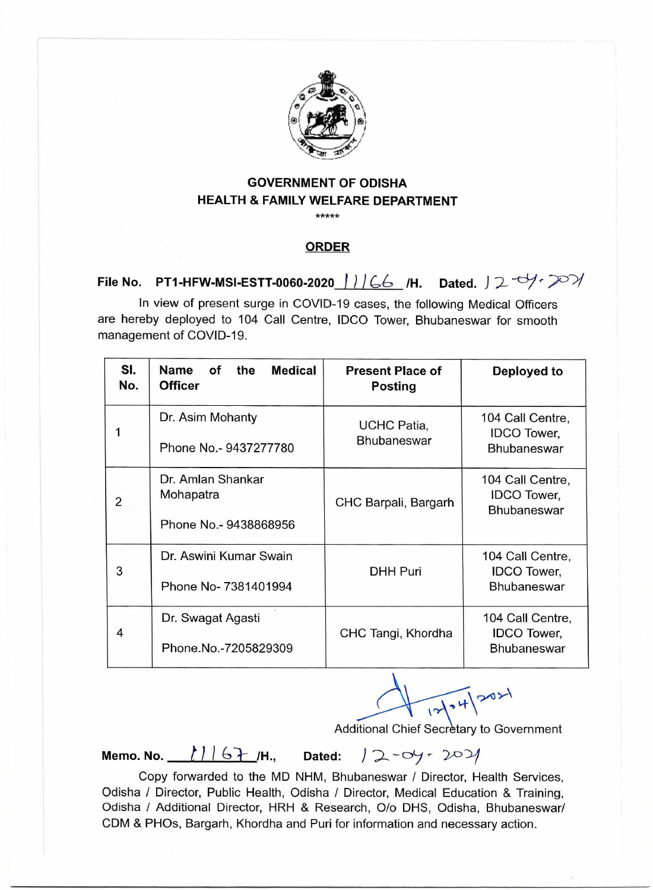

## **GOVERNMENT OF ODISHA HEALTH & FAMILY WELFARE DEPARTMENT**

 $****$ 

## **ORDER**

**File No. PT1-HFW-MSI-ESTT-0060-2020** 1166 /H. Dated. 12-0/-201

In view of present surge in COVID-19 cases, the following Medical Officers are hereby deployed to 104 Call Centre, IDCO Tower, Bhubaneswar for smooth management of COVID-19.

| SI.<br>No.     | <b>Name</b><br><b>Medical</b><br>оf<br>the<br><b>Officer</b> | <b>Present Place of</b><br><b>Posting</b> | Deployed to                                                  |
|----------------|--------------------------------------------------------------|-------------------------------------------|--------------------------------------------------------------|
| 1              | Dr. Asim Mohanty<br>Phone No.- 9437277780                    | <b>UCHC Patia,</b><br><b>Bhubaneswar</b>  | 104 Call Centre,<br><b>IDCO</b> Tower,<br><b>Bhubaneswar</b> |
| $\overline{2}$ | Dr. Amlan Shankar<br>Mohapatra<br>Phone No.- 9438868956      | CHC Barpali, Bargarh                      | 104 Call Centre,<br><b>IDCO</b> Tower,<br><b>Bhubaneswar</b> |
| 3              | Dr. Aswini Kumar Swain<br>Phone No- 7381401994               | <b>DHH Puri</b>                           | 104 Call Centre,<br><b>IDCO</b> Tower,<br><b>Bhubaneswar</b> |
| 4              | Dr. Swagat Agasti<br>Phone.No.-7205829309                    | CHC Tangi, Khordha                        | 104 Call Centre,<br><b>IDCO</b> Tower,<br><b>Bhubaneswar</b> |

 $12104$  2021

Additional Chief Secretary to Government

**Memo. No.** *t* 11 6 7 /H., Dated: 12 - 04 - 2021

Copy forwarded to the MD NHM, Bhubaneswar / Director, Health Services, Odisha / Director, Public Health, Odisha / Director, Medical Education & Training, Odisha / Additional Director, HRH & Research, 0/o DHS, Odisha, Bhubaneswar/ CDM & PHOs, Bargarh, Khordha and Puri for information and necessary action.